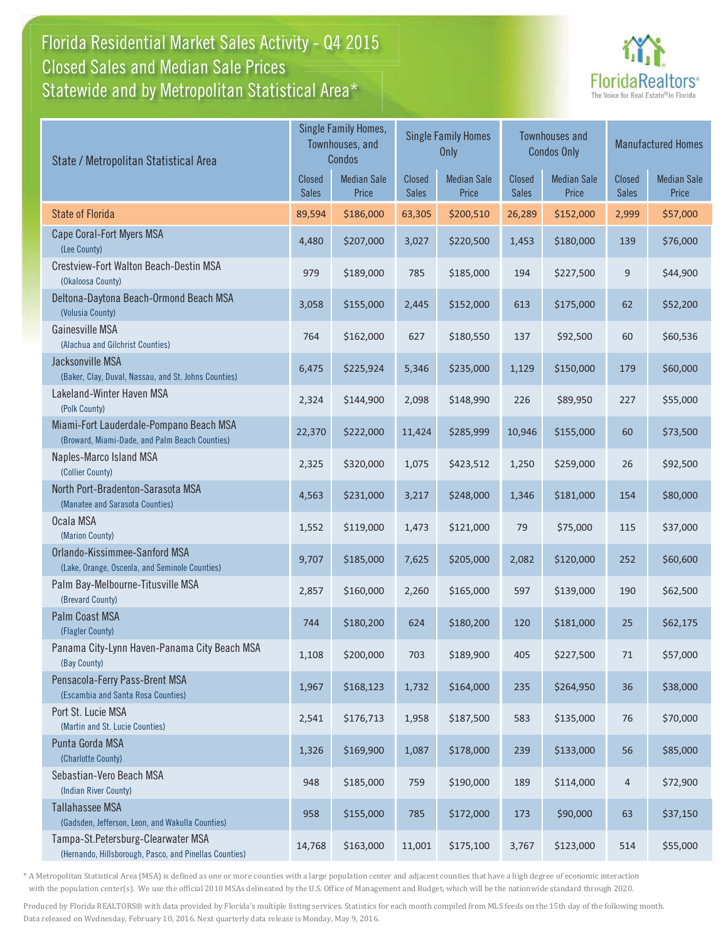### Florida Residential Market Sales Activity - Q4 2015 Statewide and by Metropolitan Statistical Area $^{\star}$ Closed Sales and Median Sale Prices



| State / Metropolitan Statistical Area                                                        |                               | Single Family Homes,<br>Townhouses, and<br>Condos |                        | <b>Single Family Homes</b><br>Only |                               | <b>Townhouses and</b><br><b>Condos Only</b> | <b>Manufactured Homes</b> |                             |  |
|----------------------------------------------------------------------------------------------|-------------------------------|---------------------------------------------------|------------------------|------------------------------------|-------------------------------|---------------------------------------------|---------------------------|-----------------------------|--|
|                                                                                              | <b>Closed</b><br><b>Sales</b> | <b>Median Sale</b><br>Price                       | Closed<br><b>Sales</b> | <b>Median Sale</b><br>Price        | <b>Closed</b><br><b>Sales</b> | <b>Median Sale</b><br>Price                 | Closed<br><b>Sales</b>    | <b>Median Sale</b><br>Price |  |
| <b>State of Florida</b>                                                                      | 89,594                        | \$186,000                                         | 63,305                 | \$200,510                          | 26,289                        | \$152,000                                   | 2,999                     | \$57,000                    |  |
| Cape Coral-Fort Myers MSA<br>(Lee County)                                                    | 4,480                         | \$207,000                                         | 3,027                  | \$220,500                          | 1,453                         | \$180,000                                   | 139                       | \$76,000                    |  |
| Crestview-Fort Walton Beach-Destin MSA<br>(Okaloosa County)                                  | 979                           | \$189,000                                         | 785                    | \$185,000                          | 194                           | \$227,500                                   | 9                         | \$44,900                    |  |
| Deltona-Daytona Beach-Ormond Beach MSA<br>(Volusia County)                                   | 3,058                         | \$155,000                                         | 2,445                  | \$152,000                          | 613                           | \$175,000                                   | 62                        | \$52,200                    |  |
| Gainesville MSA<br>(Alachua and Gilchrist Counties)                                          | 764                           | \$162,000                                         | 627                    | \$180,550                          | 137                           | \$92,500                                    | 60                        | \$60,536                    |  |
| Jacksonville MSA<br>(Baker, Clay, Duval, Nassau, and St. Johns Counties)                     | 6,475                         | \$225,924                                         | 5,346                  | \$235,000                          | 1,129                         | \$150,000                                   | 179                       | \$60,000                    |  |
| Lakeland-Winter Haven MSA<br>(Polk County)                                                   | 2,324                         | \$144,900                                         | 2,098                  | \$148,990                          | 226                           | \$89,950                                    | 227                       | \$55,000                    |  |
| Miami-Fort Lauderdale-Pompano Beach MSA<br>(Broward, Miami-Dade, and Palm Beach Counties)    | 22,370                        | \$222,000                                         | 11,424                 | \$285,999                          | 10,946                        | \$155,000                                   | 60                        | \$73,500                    |  |
| Naples-Marco Island MSA<br>(Collier County)                                                  | 2,325                         | \$320,000                                         | 1,075                  | \$423,512                          | 1,250                         | \$259,000                                   | 26                        | \$92,500                    |  |
| North Port-Bradenton-Sarasota MSA<br>(Manatee and Sarasota Counties)                         | 4,563                         | \$231,000                                         | 3,217                  | \$248,000                          | 1,346                         | \$181,000                                   | 154                       | \$80,000                    |  |
| Ocala MSA<br>(Marion County)                                                                 | 1,552                         | \$119,000                                         | 1,473                  | \$121,000                          | 79                            | \$75,000                                    | 115                       | \$37,000                    |  |
| Orlando-Kissimmee-Sanford MSA<br>(Lake, Orange, Osceola, and Seminole Counties)              | 9,707                         | \$185,000                                         | 7,625                  | \$205,000                          | 2,082                         | \$120,000                                   | 252                       | \$60,600                    |  |
| Palm Bay-Melbourne-Titusville MSA<br>(Brevard County)                                        | 2,857                         | \$160,000                                         | 2,260                  | \$165,000                          | 597                           | \$139,000                                   | 190                       | \$62,500                    |  |
| <b>Palm Coast MSA</b><br>(Flagler County)                                                    | 744                           | \$180,200                                         | 624                    | \$180,200                          | 120                           | \$181,000                                   | 25                        | \$62,175                    |  |
| Panama City-Lynn Haven-Panama City Beach MSA<br>(Bay County)                                 | 1,108                         | \$200,000                                         | 703                    | \$189,900                          | 405                           | \$227,500                                   | 71                        | \$57,000                    |  |
| Pensacola-Ferry Pass-Brent MSA<br>(Escambia and Santa Rosa Counties)                         | 1,967                         | \$168,123                                         | 1,732                  | \$164,000                          | 235                           | \$264,950                                   | 36                        | \$38,000                    |  |
| Port St. Lucie MSA<br>(Martin and St. Lucie Counties)                                        | 2,541                         | \$176,713                                         | 1,958                  | \$187,500                          | 583                           | \$135,000                                   | 76                        | \$70,000                    |  |
| Punta Gorda MSA<br>(Charlotte County)                                                        | 1,326                         | \$169,900                                         | 1,087                  | \$178,000                          | 239                           | \$133,000                                   | 56                        | \$85,000                    |  |
| Sebastian-Vero Beach MSA<br>(Indian River County)                                            | 948                           | \$185,000                                         | 759                    | \$190,000                          | 189                           | \$114,000                                   | $\overline{4}$            | \$72,900                    |  |
| <b>Tallahassee MSA</b><br>(Gadsden, Jefferson, Leon, and Wakulla Counties)                   | 958                           | \$155,000                                         | 785                    | \$172,000                          | 173                           | \$90,000                                    | 63                        | \$37,150                    |  |
| Tampa-St.Petersburg-Clearwater MSA<br>(Hernando, Hillsborough, Pasco, and Pinellas Counties) | 14,768                        | \$163,000                                         | 11,001                 | \$175,100                          | 3,767                         | \$123,000                                   | 514                       | \$55,000                    |  |

\* A Metropolitan Statistical Area (MSA) is defined as one or more counties with a large population center and adjacent counties that have a high degree of economic interaction with the population center(s). We use the official 2010 MSAs delineated by the U.S. Office of Management and Budget, which will be the nationwide standard through 2020.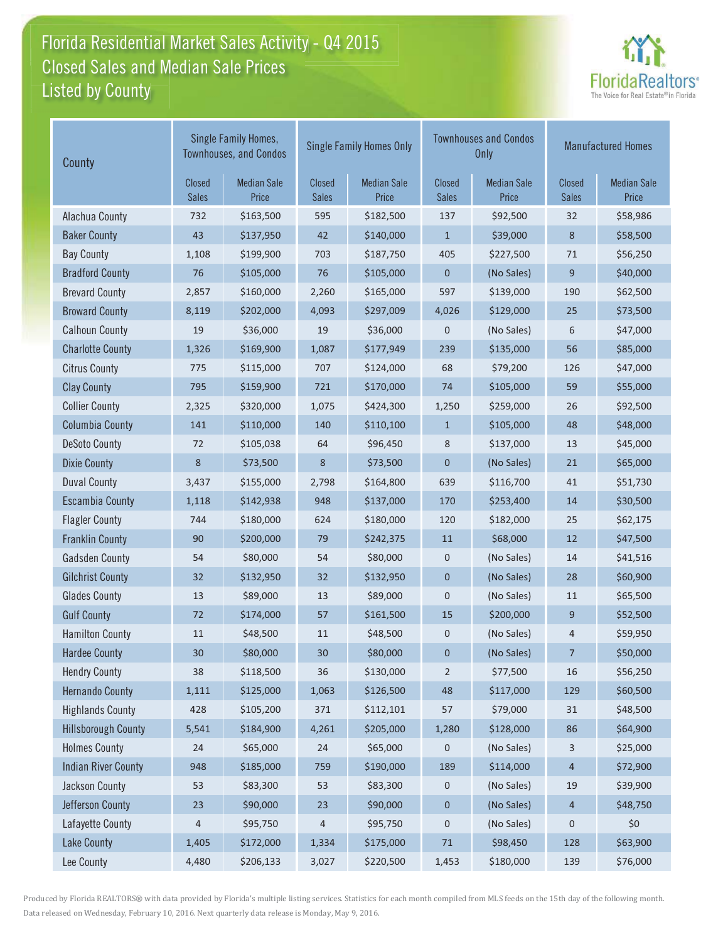### Florida Residential Market Sales Activity - Q4 2015 Listed by County-Closed Sales and Median Sale Prices



| County                     |                               | Single Family Homes,<br><b>Townhouses, and Condos</b> |                        | <b>Single Family Homes Only</b> |                        | <b>Townhouses and Condos</b><br><b>Only</b> | <b>Manufactured Homes</b> |                             |
|----------------------------|-------------------------------|-------------------------------------------------------|------------------------|---------------------------------|------------------------|---------------------------------------------|---------------------------|-----------------------------|
|                            | <b>Closed</b><br><b>Sales</b> | <b>Median Sale</b><br>Price                           | Closed<br><b>Sales</b> | <b>Median Sale</b><br>Price     | Closed<br><b>Sales</b> | <b>Median Sale</b><br>Price                 | Closed<br><b>Sales</b>    | <b>Median Sale</b><br>Price |
| Alachua County             | 732                           | \$163,500                                             | 595                    | \$182,500                       | 137                    | \$92,500                                    | 32                        | \$58,986                    |
| <b>Baker County</b>        | 43                            | \$137,950                                             | 42                     | \$140,000                       | $\mathbf{1}$           | \$39,000                                    | 8                         | \$58,500                    |
| <b>Bay County</b>          | 1,108                         | \$199,900                                             | 703                    | \$187,750                       | 405                    | \$227,500                                   | 71                        | \$56,250                    |
| <b>Bradford County</b>     | 76                            | \$105,000                                             | 76                     | \$105,000                       | $\mathbf 0$            | (No Sales)                                  | 9                         | \$40,000                    |
| <b>Brevard County</b>      | 2,857                         | \$160,000                                             | 2,260                  | \$165,000                       | 597                    | \$139,000                                   | 190                       | \$62,500                    |
| <b>Broward County</b>      | 8,119                         | \$202,000                                             | 4,093                  | \$297,009                       | 4,026                  | \$129,000                                   | 25                        | \$73,500                    |
| <b>Calhoun County</b>      | 19                            | \$36,000                                              | 19                     | \$36,000                        | $\mathbf 0$            | (No Sales)                                  | 6                         | \$47,000                    |
| <b>Charlotte County</b>    | 1,326                         | \$169,900                                             | 1,087                  | \$177,949                       | 239                    | \$135,000                                   | 56                        | \$85,000                    |
| <b>Citrus County</b>       | 775                           | \$115,000                                             | 707                    | \$124,000                       | 68                     | \$79,200                                    | 126                       | \$47,000                    |
| <b>Clay County</b>         | 795                           | \$159,900                                             | 721                    | \$170,000                       | 74                     | \$105,000                                   | 59                        | \$55,000                    |
| <b>Collier County</b>      | 2,325                         | \$320,000                                             | 1,075                  | \$424,300                       | 1,250                  | \$259,000                                   | 26                        | \$92,500                    |
| <b>Columbia County</b>     | 141                           | \$110,000                                             | 140                    | \$110,100                       | $\mathbf{1}$           | \$105,000                                   | 48                        | \$48,000                    |
| <b>DeSoto County</b>       | 72                            | \$105,038                                             | 64                     | \$96,450                        | 8                      | \$137,000                                   | 13                        | \$45,000                    |
| <b>Dixie County</b>        | 8                             | \$73,500                                              | 8                      | \$73,500                        | $\mathbf 0$            | (No Sales)                                  | 21                        | \$65,000                    |
| <b>Duval County</b>        | 3,437                         | \$155,000                                             | 2,798                  | \$164,800                       | 639                    | \$116,700                                   | 41                        | \$51,730                    |
| <b>Escambia County</b>     | 1,118                         | \$142,938                                             | 948                    | \$137,000                       | 170                    | \$253,400                                   | 14                        | \$30,500                    |
| <b>Flagler County</b>      | 744                           | \$180,000                                             | 624                    | \$180,000                       | 120                    | \$182,000                                   | 25                        | \$62,175                    |
| <b>Franklin County</b>     | 90                            | \$200,000                                             | 79                     | \$242,375                       | 11                     | \$68,000                                    | 12                        | \$47,500                    |
| <b>Gadsden County</b>      | 54                            | \$80,000                                              | 54                     | \$80,000                        | 0                      | (No Sales)                                  | 14                        | \$41,516                    |
| <b>Gilchrist County</b>    | 32                            | \$132,950                                             | 32                     | \$132,950                       | $\mathbf{0}$           | (No Sales)                                  | 28                        | \$60,900                    |
| <b>Glades County</b>       | 13                            | \$89,000                                              | 13                     | \$89,000                        | $\mathbf 0$            | (No Sales)                                  | 11                        | \$65,500                    |
| <b>Gulf County</b>         | 72                            | \$174,000                                             | 57                     | \$161,500                       | 15                     | \$200,000                                   | 9                         | \$52,500                    |
| <b>Hamilton County</b>     | 11                            | \$48,500                                              | 11                     | \$48,500                        | $\pmb{0}$              | (No Sales)                                  | 4                         | \$59,950                    |
| <b>Hardee County</b>       | 30                            | \$80,000                                              | 30                     | \$80,000                        | 0                      | (No Sales)                                  | 7                         | \$50,000                    |
| <b>Hendry County</b>       | 38                            | \$118,500                                             | 36                     | \$130,000                       | $\overline{2}$         | \$77,500                                    | 16                        | \$56,250                    |
| <b>Hernando County</b>     | 1,111                         | \$125,000                                             | 1,063                  | \$126,500                       | 48                     | \$117,000                                   | 129                       | \$60,500                    |
| <b>Highlands County</b>    | 428                           | \$105,200                                             | 371                    | \$112,101                       | 57                     | \$79,000                                    | 31                        | \$48,500                    |
| <b>Hillsborough County</b> | 5,541                         | \$184,900                                             | 4,261                  | \$205,000                       | 1,280                  | \$128,000                                   | 86                        | \$64,900                    |
| <b>Holmes County</b>       | 24                            | \$65,000                                              | 24                     | \$65,000                        | $\pmb{0}$              | (No Sales)                                  | 3                         | \$25,000                    |
| <b>Indian River County</b> | 948                           | \$185,000                                             | 759                    | \$190,000                       | 189                    | \$114,000                                   | 4                         | \$72,900                    |
| <b>Jackson County</b>      | 53                            | \$83,300                                              | 53                     | \$83,300                        | $\mathbf 0$            | (No Sales)                                  | 19                        | \$39,900                    |
| Jefferson County           | 23                            | \$90,000                                              | 23                     | \$90,000                        | $\pmb{0}$              | (No Sales)                                  | 4                         | \$48,750                    |
| Lafayette County           | 4                             | \$95,750                                              | 4                      | \$95,750                        | 0                      | (No Sales)                                  | 0                         | \$0                         |
| <b>Lake County</b>         | 1,405                         | \$172,000                                             | 1,334                  | \$175,000                       | 71                     | \$98,450                                    | 128                       | \$63,900                    |
| Lee County                 | 4,480                         | \$206,133                                             | 3,027                  | \$220,500                       | 1,453                  | \$180,000                                   | 139                       | \$76,000                    |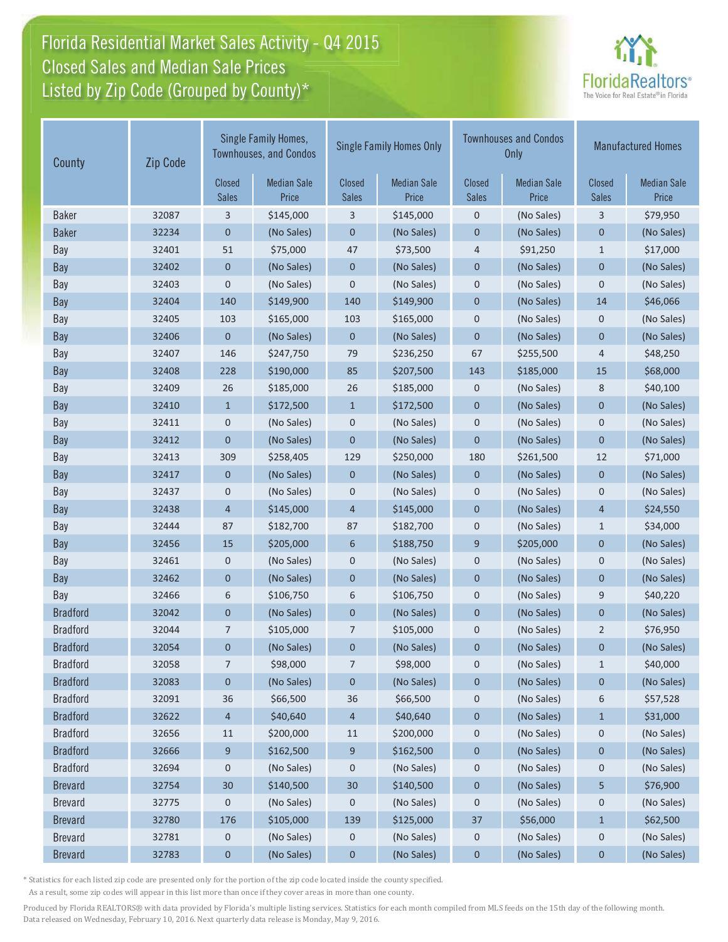# Florida Residential Market Sales Activity - Q4 2015 Florida Residential Market Sales Activity Closed Sales and Median Sale Prices  $\quad \equiv$ Listed by Zip Code (Grouped by County)\*



| County          | Zip Code        | Single Family Homes,<br><b>Townhouses, and Condos</b> |                               | <b>Single Family Homes Only</b> |                               | <b>Townhouses and Condos</b><br><b>Only</b> |                               | <b>Manufactured Homes</b>   |            |
|-----------------|-----------------|-------------------------------------------------------|-------------------------------|---------------------------------|-------------------------------|---------------------------------------------|-------------------------------|-----------------------------|------------|
|                 | Closed<br>Sales | <b>Median Sale</b><br>Price                           | <b>Closed</b><br><b>Sales</b> | <b>Median Sale</b><br>Price     | <b>Closed</b><br><b>Sales</b> | <b>Median Sale</b><br>Price                 | <b>Closed</b><br><b>Sales</b> | <b>Median Sale</b><br>Price |            |
| <b>Baker</b>    | 32087           | 3                                                     | \$145,000                     | 3                               | \$145,000                     | $\mathbf 0$                                 | (No Sales)                    | 3                           | \$79,950   |
| <b>Baker</b>    | 32234           | 0                                                     | (No Sales)                    | $\pmb{0}$                       | (No Sales)                    | $\pmb{0}$                                   | (No Sales)                    | $\pmb{0}$                   | (No Sales) |
| Bay             | 32401           | 51                                                    | \$75,000                      | 47                              | \$73,500                      | $\overline{4}$                              | \$91,250                      | $1\,$                       | \$17,000   |
| Bay             | 32402           | 0                                                     | (No Sales)                    | $\mathbf 0$                     | (No Sales)                    | $\mathbf 0$                                 | (No Sales)                    | $\mathbf 0$                 | (No Sales) |
| Bay             | 32403           | 0                                                     | (No Sales)                    | 0                               | (No Sales)                    | $\mathbf 0$                                 | (No Sales)                    | $\mathbf 0$                 | (No Sales) |
| <b>Bay</b>      | 32404           | 140                                                   | \$149,900                     | 140                             | \$149,900                     | $\mathbf 0$                                 | (No Sales)                    | 14                          | \$46,066   |
| Bay             | 32405           | 103                                                   | \$165,000                     | 103                             | \$165,000                     | $\mathbf 0$                                 | (No Sales)                    | $\boldsymbol{0}$            | (No Sales) |
| <b>Bay</b>      | 32406           | 0                                                     | (No Sales)                    | $\mathbf 0$                     | (No Sales)                    | $\mathbf 0$                                 | (No Sales)                    | $\mathbf 0$                 | (No Sales) |
| Bay             | 32407           | 146                                                   | \$247,750                     | 79                              | \$236,250                     | 67                                          | \$255,500                     | 4                           | \$48,250   |
| <b>Bay</b>      | 32408           | 228                                                   | \$190,000                     | 85                              | \$207,500                     | 143                                         | \$185,000                     | 15                          | \$68,000   |
| Bay             | 32409           | 26                                                    | \$185,000                     | 26                              | \$185,000                     | $\mathbf 0$                                 | (No Sales)                    | 8                           | \$40,100   |
| Bay             | 32410           | $\mathbf{1}$                                          | \$172,500                     | $\mathbf{1}$                    | \$172,500                     | $\mathbf 0$                                 | (No Sales)                    | $\mathbf 0$                 | (No Sales) |
| Bay             | 32411           | 0                                                     | (No Sales)                    | 0                               | (No Sales)                    | $\boldsymbol{0}$                            | (No Sales)                    | $\mathbf 0$                 | (No Sales) |
| <b>Bay</b>      | 32412           | 0                                                     | (No Sales)                    | $\mathbf 0$                     | (No Sales)                    | $\mathbf 0$                                 | (No Sales)                    | $\mathbf{0}$                | (No Sales) |
| Bay             | 32413           | 309                                                   | \$258,405                     | 129                             | \$250,000                     | 180                                         | \$261,500                     | 12                          | \$71,000   |
| <b>Bay</b>      | 32417           | $\mathbf 0$                                           | (No Sales)                    | $\mathbf 0$                     | (No Sales)                    | $\mathbf 0$                                 | (No Sales)                    | $\mathbf 0$                 | (No Sales) |
| Bay             | 32437           | 0                                                     | (No Sales)                    | 0                               | (No Sales)                    | $\mathbf 0$                                 | (No Sales)                    | $\mathbf 0$                 | (No Sales) |
| Bay             | 32438           | 4                                                     | \$145,000                     | $\overline{4}$                  | \$145,000                     | $\mathbf 0$                                 | (No Sales)                    | $\overline{4}$              | \$24,550   |
| Bay             | 32444           | 87                                                    | \$182,700                     | 87                              | \$182,700                     | $\mathbf 0$                                 | (No Sales)                    | $1\,$                       | \$34,000   |
| <b>Bay</b>      | 32456           | 15                                                    | \$205,000                     | 6                               | \$188,750                     | 9                                           | \$205,000                     | $\mathbf 0$                 | (No Sales) |
| Bay             | 32461           | 0                                                     | (No Sales)                    | 0                               | (No Sales)                    | $\mathbf 0$                                 | (No Sales)                    | $\boldsymbol{0}$            | (No Sales) |
| Bay             | 32462           | 0                                                     | (No Sales)                    | $\mathbf 0$                     | (No Sales)                    | $\mathbf 0$                                 | (No Sales)                    | $\mathbf 0$                 | (No Sales) |
| Bay             | 32466           | 6                                                     | \$106,750                     | 6                               | \$106,750                     | $\mathbf 0$                                 | (No Sales)                    | 9                           | \$40,220   |
| <b>Bradford</b> | 32042           | 0                                                     | (No Sales)                    | $\mathbf 0$                     | (No Sales)                    | $\mathbf 0$                                 | (No Sales)                    | $\mathbf{0}$                | (No Sales) |
| <b>Bradford</b> | 32044           | 7                                                     | \$105,000                     | 7                               | \$105,000                     | $\mathbf 0$                                 | (No Sales)                    | $\overline{2}$              | \$76,950   |
| <b>Bradford</b> | 32054           | 0                                                     | (No Sales)                    | $\pmb{0}$                       | (No Sales)                    | $\mathbf 0$                                 | (No Sales)                    | 0                           | (No Sales) |
| <b>Bradford</b> | 32058           | 7                                                     | \$98,000                      | 7                               | \$98,000                      | 0                                           | (No Sales)                    | $\mathbf{1}$                | \$40,000   |
| <b>Bradford</b> | 32083           | 0                                                     | (No Sales)                    | 0                               | (No Sales)                    | $\boldsymbol{0}$                            | (No Sales)                    | 0                           | (No Sales) |
| <b>Bradford</b> | 32091           | 36                                                    | \$66,500                      | 36                              | \$66,500                      | $\mathbf 0$                                 | (No Sales)                    | 6                           | \$57,528   |
| <b>Bradford</b> | 32622           | 4                                                     | \$40,640                      | 4                               | \$40,640                      | $\boldsymbol{0}$                            | (No Sales)                    | $\mathbf{1}$                | \$31,000   |
| <b>Bradford</b> | 32656           | 11                                                    | \$200,000                     | 11                              | \$200,000                     | 0                                           | (No Sales)                    | 0                           | (No Sales) |
| <b>Bradford</b> | 32666           | 9                                                     | \$162,500                     | 9                               | \$162,500                     | $\mathbf 0$                                 | (No Sales)                    | $\boldsymbol{0}$            | (No Sales) |
| <b>Bradford</b> | 32694           | 0                                                     | (No Sales)                    | 0                               | (No Sales)                    | $\boldsymbol{0}$                            | (No Sales)                    | 0                           | (No Sales) |
| <b>Brevard</b>  | 32754           | 30                                                    | \$140,500                     | 30                              | \$140,500                     | $\pmb{0}$                                   | (No Sales)                    | 5                           | \$76,900   |
| <b>Brevard</b>  | 32775           | 0                                                     | (No Sales)                    | 0                               | (No Sales)                    | 0                                           | (No Sales)                    | 0                           | (No Sales) |
| <b>Brevard</b>  | 32780           | 176                                                   | \$105,000                     | 139                             | \$125,000                     | 37                                          | \$56,000                      | $\mathbf{1}$                | \$62,500   |
| <b>Brevard</b>  | 32781           | 0                                                     | (No Sales)                    | 0                               | (No Sales)                    | $\boldsymbol{0}$                            | (No Sales)                    | $\mathbf 0$                 | (No Sales) |
| <b>Brevard</b>  | 32783           | 0                                                     | (No Sales)                    | $\pmb{0}$                       | (No Sales)                    | $\pmb{0}$                                   | (No Sales)                    | 0                           | (No Sales) |

\* Statistics for each listed zip code are presented only for the portion of the zip code located inside the county specified.

As a result, some zip codes will appear in this list more than once if they cover areas in more than one county.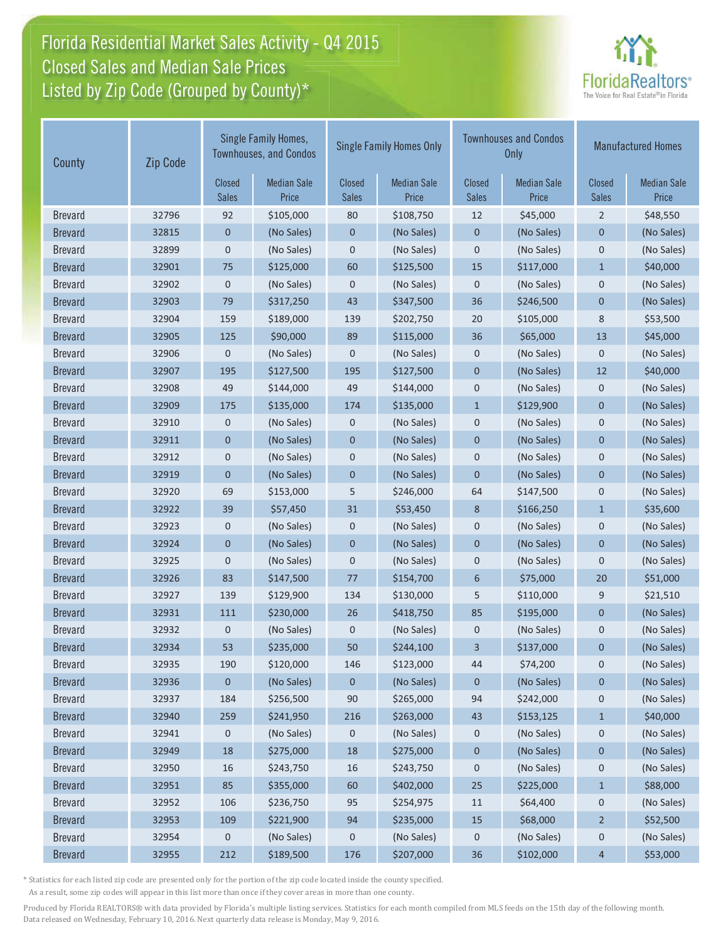# Florida Residential Market Sales Activity - Q4 2015 Florida Residential Market Sales Activity Closed Sales and Median Sale Prices  $\quad \equiv$ Listed by Zip Code (Grouped by County)\*



| County         | Zip Code               | Single Family Homes,<br><b>Townhouses, and Condos</b> |                               | <b>Single Family Homes Only</b> |                        |                             | <b>Townhouses and Condos</b><br>Only | <b>Manufactured Homes</b>   |            |
|----------------|------------------------|-------------------------------------------------------|-------------------------------|---------------------------------|------------------------|-----------------------------|--------------------------------------|-----------------------------|------------|
|                | <b>Closed</b><br>Sales | <b>Median Sale</b><br>Price                           | <b>Closed</b><br><b>Sales</b> | <b>Median Sale</b><br>Price     | Closed<br><b>Sales</b> | <b>Median Sale</b><br>Price | Closed<br><b>Sales</b>               | <b>Median Sale</b><br>Price |            |
| <b>Brevard</b> | 32796                  | 92                                                    | \$105,000                     | 80                              | \$108,750              | 12                          | \$45,000                             | $\overline{2}$              | \$48,550   |
| <b>Brevard</b> | 32815                  | $\mathbf 0$                                           | (No Sales)                    | $\pmb{0}$                       | (No Sales)             | $\pmb{0}$                   | (No Sales)                           | 0                           | (No Sales) |
| <b>Brevard</b> | 32899                  | 0                                                     | (No Sales)                    | 0                               | (No Sales)             | $\mathbf 0$                 | (No Sales)                           | $\mathbf 0$                 | (No Sales) |
| <b>Brevard</b> | 32901                  | 75                                                    | \$125,000                     | 60                              | \$125,500              | 15                          | \$117,000                            | $\mathbf{1}$                | \$40,000   |
| <b>Brevard</b> | 32902                  | $\mathbf 0$                                           | (No Sales)                    | 0                               | (No Sales)             | $\mathbf 0$                 | (No Sales)                           | $\mathbf 0$                 | (No Sales) |
| <b>Brevard</b> | 32903                  | 79                                                    | \$317,250                     | 43                              | \$347,500              | 36                          | \$246,500                            | $\mathbf 0$                 | (No Sales) |
| <b>Brevard</b> | 32904                  | 159                                                   | \$189,000                     | 139                             | \$202,750              | 20                          | \$105,000                            | 8                           | \$53,500   |
| <b>Brevard</b> | 32905                  | 125                                                   | \$90,000                      | 89                              | \$115,000              | 36                          | \$65,000                             | 13                          | \$45,000   |
| <b>Brevard</b> | 32906                  | $\mathbf 0$                                           | (No Sales)                    | 0                               | (No Sales)             | $\mathbf 0$                 | (No Sales)                           | $\mathbf 0$                 | (No Sales) |
| <b>Brevard</b> | 32907                  | 195                                                   | \$127,500                     | 195                             | \$127,500              | $\mathbf 0$                 | (No Sales)                           | 12                          | \$40,000   |
| <b>Brevard</b> | 32908                  | 49                                                    | \$144,000                     | 49                              | \$144,000              | $\mathbf 0$                 | (No Sales)                           | $\mathbf 0$                 | (No Sales) |
| <b>Brevard</b> | 32909                  | 175                                                   | \$135,000                     | 174                             | \$135,000              | $\mathbf{1}$                | \$129,900                            | $\mathbf 0$                 | (No Sales) |
| <b>Brevard</b> | 32910                  | 0                                                     | (No Sales)                    | 0                               | (No Sales)             | $\mathbf 0$                 | (No Sales)                           | $\mathbf 0$                 | (No Sales) |
| <b>Brevard</b> | 32911                  | $\mathbf 0$                                           | (No Sales)                    | $\mathbf 0$                     | (No Sales)             | $\mathbf 0$                 | (No Sales)                           | $\mathbf 0$                 | (No Sales) |
| <b>Brevard</b> | 32912                  | 0                                                     | (No Sales)                    | 0                               | (No Sales)             | $\mathbf 0$                 | (No Sales)                           | $\mathbf 0$                 | (No Sales) |
| <b>Brevard</b> | 32919                  | $\mathbf 0$                                           | (No Sales)                    | $\mathbf 0$                     | (No Sales)             | $\mathbf 0$                 | (No Sales)                           | $\mathbf 0$                 | (No Sales) |
| <b>Brevard</b> | 32920                  | 69                                                    | \$153,000                     | 5                               | \$246,000              | 64                          | \$147,500                            | $\mathbf 0$                 | (No Sales) |
| <b>Brevard</b> | 32922                  | 39                                                    | \$57,450                      | 31                              | \$53,450               | 8                           | \$166,250                            | $\mathbf{1}$                | \$35,600   |
| <b>Brevard</b> | 32923                  | $\pmb{0}$                                             | (No Sales)                    | 0                               | (No Sales)             | $\mathbf 0$                 | (No Sales)                           | $\mathbf 0$                 | (No Sales) |
| <b>Brevard</b> | 32924                  | $\mathbf 0$                                           | (No Sales)                    | $\mathbf 0$                     | (No Sales)             | $\mathbf 0$                 | (No Sales)                           | $\mathbf 0$                 | (No Sales) |
| <b>Brevard</b> | 32925                  | 0                                                     | (No Sales)                    | 0                               | (No Sales)             | $\pmb{0}$                   | (No Sales)                           | $\pmb{0}$                   | (No Sales) |
| <b>Brevard</b> | 32926                  | 83                                                    | \$147,500                     | 77                              | \$154,700              | $6\phantom{1}$              | \$75,000                             | 20                          | \$51,000   |
| <b>Brevard</b> | 32927                  | 139                                                   | \$129,900                     | 134                             | \$130,000              | 5                           | \$110,000                            | 9                           | \$21,510   |
| <b>Brevard</b> | 32931                  | 111                                                   | \$230,000                     | 26                              | \$418,750              | 85                          | \$195,000                            | $\mathbf{0}$                | (No Sales) |
| <b>Brevard</b> | 32932                  | 0                                                     | (No Sales)                    | 0                               | (No Sales)             | $\mathbf 0$                 | (No Sales)                           | $\mathbf 0$                 | (No Sales) |
| <b>Brevard</b> | 32934                  | 53                                                    | \$235,000                     | 50                              | \$244,100              | 3                           | \$137,000                            | $\mathbf 0$                 | (No Sales) |
| <b>Brevard</b> | 32935                  | 190                                                   | \$120,000                     | 146                             | \$123,000              | 44                          | \$74,200                             | 0                           | (No Sales) |
| <b>Brevard</b> | 32936                  | 0                                                     | (No Sales)                    | 0                               | (No Sales)             | $\mathbf 0$                 | (No Sales)                           | 0                           | (No Sales) |
| <b>Brevard</b> | 32937                  | 184                                                   | \$256,500                     | 90                              | \$265,000              | 94                          | \$242,000                            | $\mathbf 0$                 | (No Sales) |
| <b>Brevard</b> | 32940                  | 259                                                   | \$241,950                     | 216                             | \$263,000              | 43                          | \$153,125                            | $\mathbf{1}$                | \$40,000   |
| <b>Brevard</b> | 32941                  | 0                                                     | (No Sales)                    | 0                               | (No Sales)             | $\boldsymbol{0}$            | (No Sales)                           | $\mathbf 0$                 | (No Sales) |
| <b>Brevard</b> | 32949                  | 18                                                    | \$275,000                     | 18                              | \$275,000              | $\boldsymbol{0}$            | (No Sales)                           | $\boldsymbol{0}$            | (No Sales) |
| <b>Brevard</b> | 32950                  | 16                                                    | \$243,750                     | 16                              | \$243,750              | 0                           | (No Sales)                           | 0                           | (No Sales) |
| <b>Brevard</b> | 32951                  | 85                                                    | \$355,000                     | 60                              | \$402,000              | 25                          | \$225,000                            | $\mathbf{1}$                | \$88,000   |
| <b>Brevard</b> | 32952                  | 106                                                   | \$236,750                     | 95                              | \$254,975              | 11                          | \$64,400                             | $\mathbf 0$                 | (No Sales) |
| <b>Brevard</b> | 32953                  | 109                                                   | \$221,900                     | 94                              | \$235,000              | 15                          | \$68,000                             | $\overline{2}$              | \$52,500   |
| <b>Brevard</b> | 32954                  | 0                                                     | (No Sales)                    | 0                               | (No Sales)             | 0                           | (No Sales)                           | 0                           | (No Sales) |
| <b>Brevard</b> | 32955                  | 212                                                   | \$189,500                     | 176                             | \$207,000              | 36                          | \$102,000                            | $\overline{4}$              | \$53,000   |

\* Statistics for each listed zip code are presented only for the portion of the zip code located inside the county specified.

As a result, some zip codes will appear in this list more than once if they cover areas in more than one county.